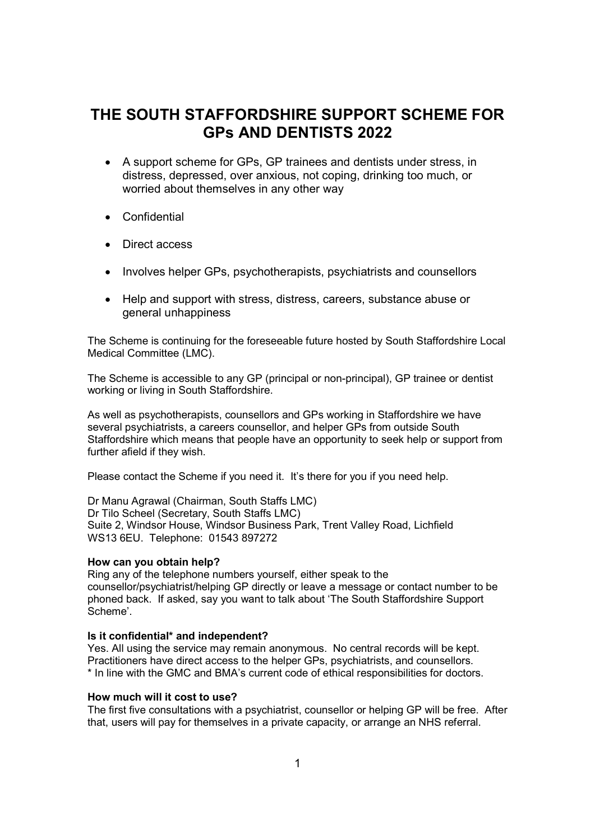# THE SOUTH STAFFORDSHIRE SUPPORT SCHEME FOR GPs AND DENTISTS 2022

- A support scheme for GPs, GP trainees and dentists under stress, in distress, depressed, over anxious, not coping, drinking too much, or worried about themselves in any other way
- Confidential
- Direct access
- Involves helper GPs, psychotherapists, psychiatrists and counsellors
- Help and support with stress, distress, careers, substance abuse or general unhappiness

The Scheme is continuing for the foreseeable future hosted by South Staffordshire Local Medical Committee (LMC).

The Scheme is accessible to any GP (principal or non-principal), GP trainee or dentist working or living in South Staffordshire.

As well as psychotherapists, counsellors and GPs working in Staffordshire we have several psychiatrists, a careers counsellor, and helper GPs from outside South Staffordshire which means that people have an opportunity to seek help or support from further afield if they wish.

Please contact the Scheme if you need it. It's there for you if you need help.

Dr Manu Agrawal (Chairman, South Staffs LMC) Dr Tilo Scheel (Secretary, South Staffs LMC) Suite 2, Windsor House, Windsor Business Park, Trent Valley Road, Lichfield WS13 6EU. Telephone: 01543 897272

#### How can you obtain help?

Ring any of the telephone numbers yourself, either speak to the counsellor/psychiatrist/helping GP directly or leave a message or contact number to be phoned back. If asked, say you want to talk about 'The South Staffordshire Support Scheme'.

#### Is it confidential\* and independent?

Yes. All using the service may remain anonymous. No central records will be kept. Practitioners have direct access to the helper GPs, psychiatrists, and counsellors. \* In line with the GMC and BMA's current code of ethical responsibilities for doctors.

#### How much will it cost to use?

The first five consultations with a psychiatrist, counsellor or helping GP will be free. After that, users will pay for themselves in a private capacity, or arrange an NHS referral.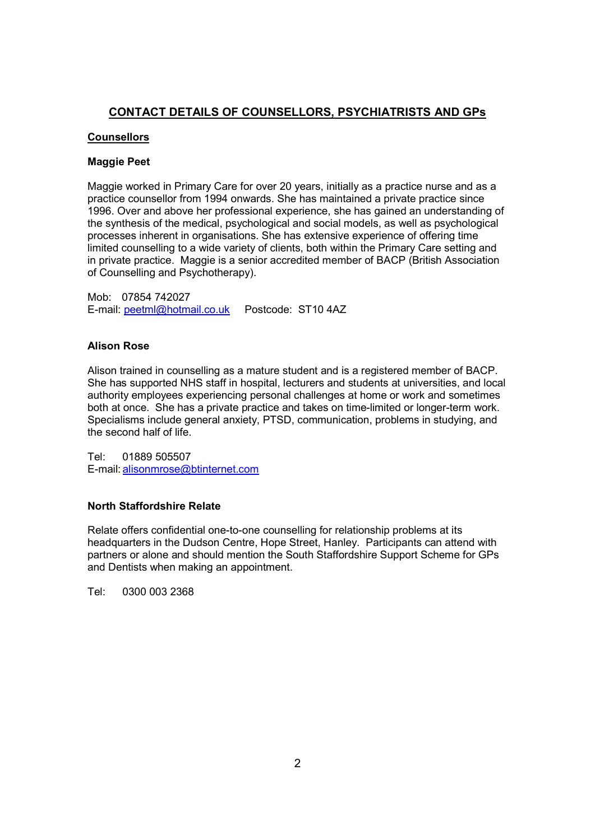## CONTACT DETAILS OF COUNSELLORS, PSYCHIATRISTS AND GPs

## **Counsellors**

#### Maggie Peet

Maggie worked in Primary Care for over 20 years, initially as a practice nurse and as a practice counsellor from 1994 onwards. She has maintained a private practice since 1996. Over and above her professional experience, she has gained an understanding of the synthesis of the medical, psychological and social models, as well as psychological processes inherent in organisations. She has extensive experience of offering time limited counselling to a wide variety of clients, both within the Primary Care setting and in private practice. Maggie is a senior accredited member of BACP (British Association of Counselling and Psychotherapy).

Mob: 07854 742027 E-mail: peetml@hotmail.co.uk Postcode: ST10 4AZ

## Alison Rose

Alison trained in counselling as a mature student and is a registered member of BACP. She has supported NHS staff in hospital, lecturers and students at universities, and local authority employees experiencing personal challenges at home or work and sometimes both at once. She has a private practice and takes on time-limited or longer-term work. Specialisms include general anxiety, PTSD, communication, problems in studying, and the second half of life.

Tel: 01889 505507 E-mail: alisonmrose@btinternet.com

## North Staffordshire Relate

Relate offers confidential one-to-one counselling for relationship problems at its headquarters in the Dudson Centre, Hope Street, Hanley. Participants can attend with partners or alone and should mention the South Staffordshire Support Scheme for GPs and Dentists when making an appointment.

Tel: 0300 003 2368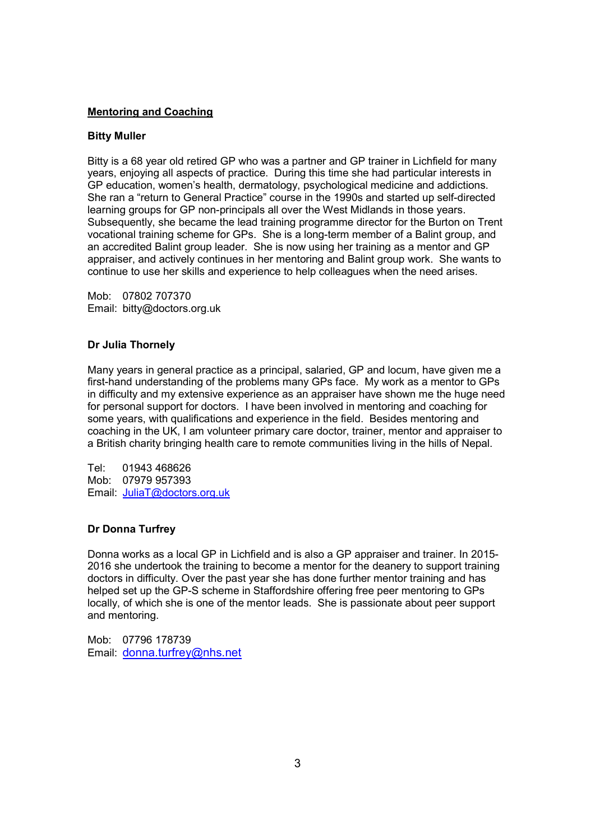## Mentoring and Coaching

#### Bitty Muller

Bitty is a 68 year old retired GP who was a partner and GP trainer in Lichfield for many years, enjoying all aspects of practice. During this time she had particular interests in GP education, women's health, dermatology, psychological medicine and addictions. She ran a "return to General Practice" course in the 1990s and started up self-directed learning groups for GP non-principals all over the West Midlands in those years. Subsequently, she became the lead training programme director for the Burton on Trent vocational training scheme for GPs. She is a long-term member of a Balint group, and an accredited Balint group leader. She is now using her training as a mentor and GP appraiser, and actively continues in her mentoring and Balint group work. She wants to continue to use her skills and experience to help colleagues when the need arises.

Mob: 07802 707370 Email: bitty@doctors.org.uk

## Dr Julia Thornely

Many years in general practice as a principal, salaried, GP and locum, have given me a first-hand understanding of the problems many GPs face. My work as a mentor to GPs in difficulty and my extensive experience as an appraiser have shown me the huge need for personal support for doctors. I have been involved in mentoring and coaching for some years, with qualifications and experience in the field. Besides mentoring and coaching in the UK, I am volunteer primary care doctor, trainer, mentor and appraiser to a British charity bringing health care to remote communities living in the hills of Nepal.

Tel: 01943 468626 Mob: 07979 957393 Email: JuliaT@doctors.org.uk

## Dr Donna Turfrey

Donna works as a local GP in Lichfield and is also a GP appraiser and trainer. In 2015- 2016 she undertook the training to become a mentor for the deanery to support training doctors in difficulty. Over the past year she has done further mentor training and has helped set up the GP-S scheme in Staffordshire offering free peer mentoring to GPs locally, of which she is one of the mentor leads. She is passionate about peer support and mentoring.

Mob: 07796 178739 Email: donna.turfrey@nhs.net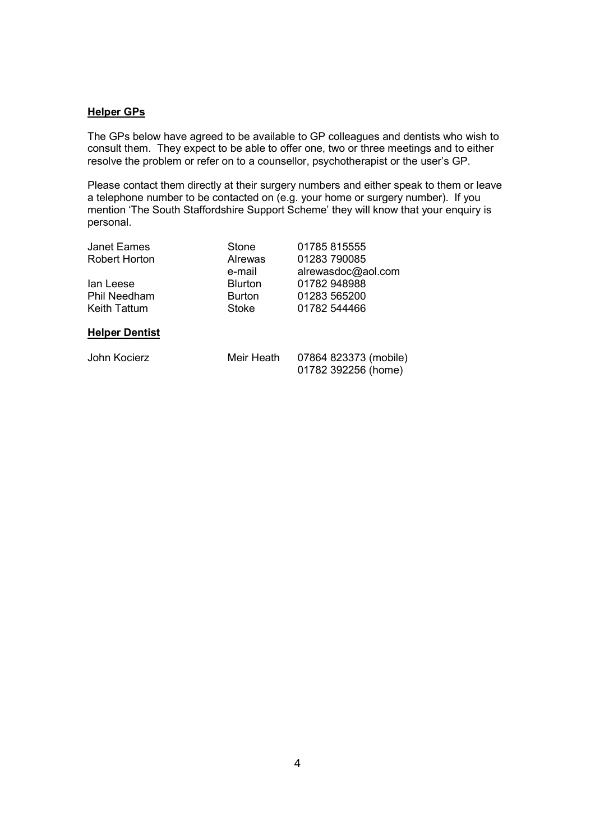## **Helper GPs**

The GPs below have agreed to be available to GP colleagues and dentists who wish to consult them. They expect to be able to offer one, two or three meetings and to either resolve the problem or refer on to a counsellor, psychotherapist or the user's GP.

Please contact them directly at their surgery numbers and either speak to them or leave a telephone number to be contacted on (e.g. your home or surgery number). If you mention 'The South Staffordshire Support Scheme' they will know that your enquiry is personal.

| Janet Eames          | Stone          | 01785 815555       |
|----------------------|----------------|--------------------|
| <b>Robert Horton</b> | Alrewas        | 01283 790085       |
|                      | e-mail         | alrewasdoc@aol.com |
| lan Leese            | <b>Blurton</b> | 01782 948988       |
| <b>Phil Needham</b>  | <b>Burton</b>  | 01283 565200       |
| Keith Tattum         | Stoke          | 01782 544466       |
|                      |                |                    |

#### Helper Dentist

John Kocierz Meir Heath 07864 823373 (mobile) 01782 392256 (home)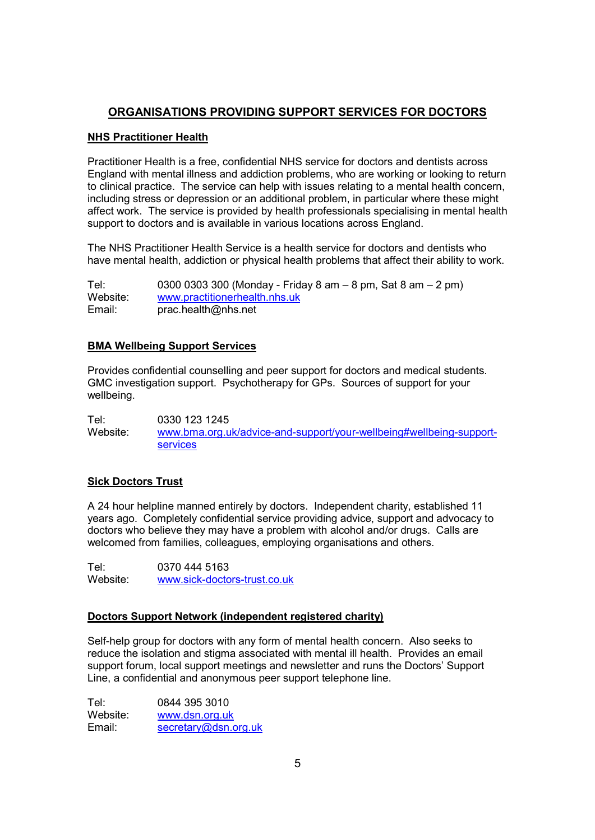# ORGANISATIONS PROVIDING SUPPORT SERVICES FOR DOCTORS

## NHS Practitioner Health

Practitioner Health is a free, confidential NHS service for doctors and dentists across England with mental illness and addiction problems, who are working or looking to return to clinical practice. The service can help with issues relating to a mental health concern, including stress or depression or an additional problem, in particular where these might affect work. The service is provided by health professionals specialising in mental health support to doctors and is available in various locations across England.

The NHS Practitioner Health Service is a health service for doctors and dentists who have mental health, addiction or physical health problems that affect their ability to work.

| Tel:     | 0300 0303 300 (Monday - Friday 8 am $-$ 8 pm, Sat 8 am $-$ 2 pm) |
|----------|------------------------------------------------------------------|
| Website: | www.practitionerhealth.nhs.uk                                    |
| Email:   | prac.health@nhs.net                                              |

## BMA Wellbeing Support Services

Provides confidential counselling and peer support for doctors and medical students. GMC investigation support. Psychotherapy for GPs. Sources of support for your wellbeing.

Tel: 0330 123 1245 Website: www.bma.org.uk/advice-and-support/your-wellbeing#wellbeing-supportservices

## Sick Doctors Trust

A 24 hour helpline manned entirely by doctors. Independent charity, established 11 years ago. Completely confidential service providing advice, support and advocacy to doctors who believe they may have a problem with alcohol and/or drugs. Calls are welcomed from families, colleagues, employing organisations and others.

Tel: 0370 444 5163 Website: www.sick-doctors-trust.co.uk

## Doctors Support Network (independent registered charity)

Self-help group for doctors with any form of mental health concern. Also seeks to reduce the isolation and stigma associated with mental ill health. Provides an email support forum, local support meetings and newsletter and runs the Doctors' Support Line, a confidential and anonymous peer support telephone line.

| Tel∶     | 0844 395 3010        |  |
|----------|----------------------|--|
| Website: | www.dsn.org.uk       |  |
| Email:   | secretary@dsn.org.uk |  |